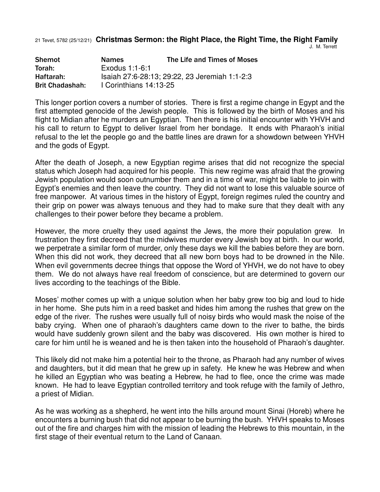21 Tevet, 5782 (25/12/21) **Christmas Sermon: the Right Place, the Right Time, the Right Family** J. M. Terrett

| <b>Shemot</b>          | <b>Names</b>                                  | The Life and Times of Moses |
|------------------------|-----------------------------------------------|-----------------------------|
| Torah:                 | Exodus 1:1-6:1                                |                             |
| Haftarah:              | Isaiah 27:6-28:13; 29:22, 23 Jeremiah 1:1-2:3 |                             |
| <b>Brit Chadashah:</b> | I Corinthians 14:13-25                        |                             |

This longer portion covers a number of stories. There is first a regime change in Egypt and the first attempted genocide of the Jewish people. This is followed by the birth of Moses and his flight to Midian after he murders an Egyptian. Then there is his initial encounter with YHVH and his call to return to Egypt to deliver Israel from her bondage. It ends with Pharaoh's initial refusal to the let the people go and the battle lines are drawn for a showdown between YHVH and the gods of Egypt.

After the death of Joseph, a new Egyptian regime arises that did not recognize the special status which Joseph had acquired for his people. This new regime was afraid that the growing Jewish population would soon outnumber them and in a time of war, might be liable to join with Egypt's enemies and then leave the country. They did not want to lose this valuable source of free manpower. At various times in the history of Egypt, foreign regimes ruled the country and their grip on power was always tenuous and they had to make sure that they dealt with any challenges to their power before they became a problem.

However, the more cruelty they used against the Jews, the more their population grew. In frustration they first decreed that the midwives murder every Jewish boy at birth. In our world, we perpetrate a similar form of murder, only these days we kill the babies before they are born. When this did not work, they decreed that all new born boys had to be drowned in the Nile. When evil governments decree things that oppose the Word of YHVH, we do not have to obey them. We do not always have real freedom of conscience, but are determined to govern our lives according to the teachings of the Bible.

Moses' mother comes up with a unique solution when her baby grew too big and loud to hide in her home. She puts him in a reed basket and hides him among the rushes that grew on the edge of the river. The rushes were usually full of noisy birds who would mask the noise of the baby crying. When one of pharaoh's daughters came down to the river to bathe, the birds would have suddenly grown silent and the baby was discovered. His own mother is hired to care for him until he is weaned and he is then taken into the household of Pharaoh's daughter.

This likely did not make him a potential heir to the throne, as Pharaoh had any number of wives and daughters, but it did mean that he grew up in safety. He knew he was Hebrew and when he killed an Egyptian who was beating a Hebrew, he had to flee, once the crime was made known. He had to leave Egyptian controlled territory and took refuge with the family of Jethro, a priest of Midian.

As he was working as a shepherd, he went into the hills around mount Sinai (Horeb) where he encounters a burning bush that did not appear to be burning the bush. YHVH speaks to Moses out of the fire and charges him with the mission of leading the Hebrews to this mountain, in the first stage of their eventual return to the Land of Canaan.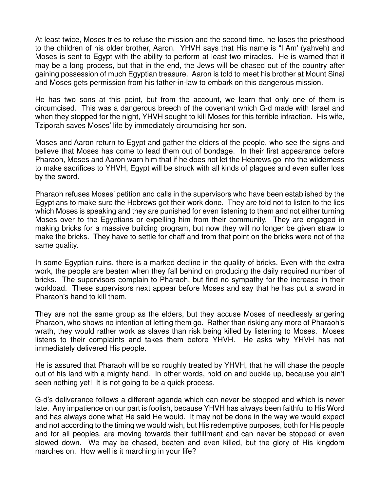At least twice, Moses tries to refuse the mission and the second time, he loses the priesthood to the children of his older brother, Aaron. YHVH says that His name is "I Am' (yahveh) and Moses is sent to Egypt with the ability to perform at least two miracles. He is warned that it may be a long process, but that in the end, the Jews will be chased out of the country after gaining possession of much Egyptian treasure. Aaron is told to meet his brother at Mount Sinai and Moses gets permission from his father-in-law to embark on this dangerous mission.

He has two sons at this point, but from the account, we learn that only one of them is circumcised. This was a dangerous breech of the covenant which G-d made with Israel and when they stopped for the night, YHVH sought to kill Moses for this terrible infraction. His wife, Tziporah saves Moses' life by immediately circumcising her son.

Moses and Aaron return to Egypt and gather the elders of the people, who see the signs and believe that Moses has come to lead them out of bondage. In their first appearance before Pharaoh, Moses and Aaron warn him that if he does not let the Hebrews go into the wilderness to make sacrifices to YHVH, Egypt will be struck with all kinds of plagues and even suffer loss by the sword.

Pharaoh refuses Moses' petition and calls in the supervisors who have been established by the Egyptians to make sure the Hebrews got their work done. They are told not to listen to the lies which Moses is speaking and they are punished for even listening to them and not either turning Moses over to the Egyptians or expelling him from their community. They are engaged in making bricks for a massive building program, but now they will no longer be given straw to make the bricks. They have to settle for chaff and from that point on the bricks were not of the same quality.

In some Egyptian ruins, there is a marked decline in the quality of bricks. Even with the extra work, the people are beaten when they fall behind on producing the daily required number of bricks. The supervisors complain to Pharaoh, but find no sympathy for the increase in their workload. These supervisors next appear before Moses and say that he has put a sword in Pharaoh's hand to kill them.

They are not the same group as the elders, but they accuse Moses of needlessly angering Pharaoh, who shows no intention of letting them go. Rather than risking any more of Pharaoh's wrath, they would rather work as slaves than risk being killed by listening to Moses. Moses listens to their complaints and takes them before YHVH. He asks why YHVH has not immediately delivered His people.

He is assured that Pharaoh will be so roughly treated by YHVH, that he will chase the people out of his land with a mighty hand. In other words, hold on and buckle up, because you ain't seen nothing yet! It is not going to be a quick process.

G-d's deliverance follows a different agenda which can never be stopped and which is never late. Any impatience on our part is foolish, because YHVH has always been faithful to His Word and has always done what He said He would. It may not be done in the way we would expect and not according to the timing we would wish, but His redemptive purposes, both for His people and for all peoples, are moving towards their fulfillment and can never be stopped or even slowed down. We may be chased, beaten and even killed, but the glory of His kingdom marches on. How well is it marching in your life?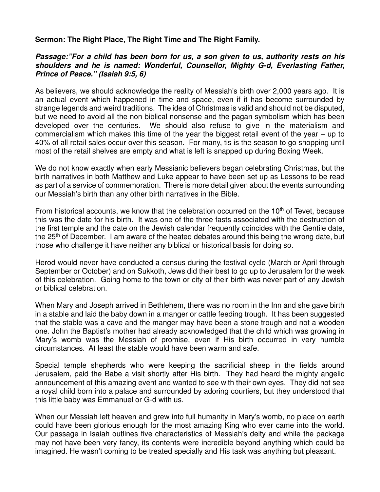## **Sermon: The Right Place, The Right Time and The Right Family.**

## *Passage:"For a child has been born for us, a son given to us, authority rests on his shoulders and he is named: Wonderful, Counsellor, Mighty G-d, Everlasting Father, Prince of Peace." (Isaiah 9:5, 6)*

As believers, we should acknowledge the reality of Messiah's birth over 2,000 years ago. It is an actual event which happened in time and space, even if it has become surrounded by strange legends and weird traditions. The idea of Christmas is valid and should not be disputed, but we need to avoid all the non biblical nonsense and the pagan symbolism which has been developed over the centuries. We should also refuse to give in the materialism and commercialism which makes this time of the year the biggest retail event of the year – up to 40% of all retail sales occur over this season. For many, tis is the season to go shopping until most of the retail shelves are empty and what is left is snapped up during Boxing Week.

We do not know exactly when early Messianic believers began celebrating Christmas, but the birth narratives in both Matthew and Luke appear to have been set up as Lessons to be read as part of a service of commemoration. There is more detail given about the events surrounding our Messiah's birth than any other birth narratives in the Bible.

From historical accounts, we know that the celebration occurred on the  $10<sup>th</sup>$  of Tevet, because this was the date for his birth. It was one of the three fasts associated with the destruction of the first temple and the date on the Jewish calendar frequently coincides with the Gentile date, the 25<sup>th</sup> of December. I am aware of the heated debates around this being the wrong date, but those who challenge it have neither any biblical or historical basis for doing so.

Herod would never have conducted a census during the festival cycle (March or April through September or October) and on Sukkoth, Jews did their best to go up to Jerusalem for the week of this celebration. Going home to the town or city of their birth was never part of any Jewish or biblical celebration.

When Mary and Joseph arrived in Bethlehem, there was no room in the Inn and she gave birth in a stable and laid the baby down in a manger or cattle feeding trough. It has been suggested that the stable was a cave and the manger may have been a stone trough and not a wooden one. John the Baptist's mother had already acknowledged that the child which was growing in Mary's womb was the Messiah of promise, even if His birth occurred in very humble circumstances. At least the stable would have been warm and safe.

Special temple shepherds who were keeping the sacrificial sheep in the fields around Jerusalem, paid the Babe a visit shortly after His birth. They had heard the mighty angelic announcement of this amazing event and wanted to see with their own eyes. They did not see a royal child born into a palace and surrounded by adoring courtiers, but they understood that this little baby was Emmanuel or G-d with us.

When our Messiah left heaven and grew into full humanity in Mary's womb, no place on earth could have been glorious enough for the most amazing King who ever came into the world. Our passage in Isaiah outlines five characteristics of Messiah's deity and while the package may not have been very fancy, its contents were incredible beyond anything which could be imagined. He wasn't coming to be treated specially and His task was anything but pleasant.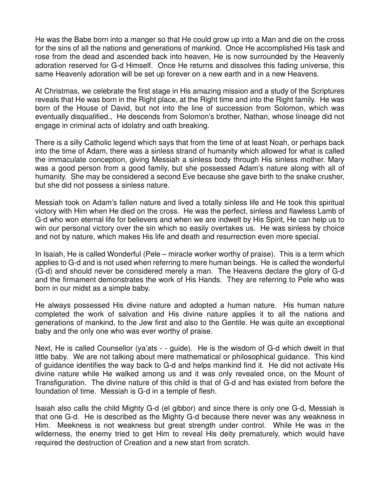He was the Babe born into a manger so that He could grow up into a Man and die on the cross for the sins of all the nations and generations of mankind. Once He accomplished His task and rose from the dead and ascended back into heaven, He is now surrounded by the Heavenly adoration reserved for G-d Himself. Once He returns and dissolves this fading universe, this same Heavenly adoration will be set up forever on a new earth and in a new Heavens.

At Christmas, we celebrate the first stage in His amazing mission and a study of the Scriptures reveals that He was born in the Right place, at the Right time and into the Right family. He was born of the House of David, but not into the line of succession from Solomon, which was eventually disqualified., He descends from Solomon's brother, Nathan, whose lineage did not engage in criminal acts of idolatry and oath breaking.

There is a silly Catholic legend which says that from the time of at least Noah, or perhaps back into the time of Adam, there was a sinless strand of humanity which allowed for what is called the immaculate conception, giving Messiah a sinless body through His sinless mother. Mary was a good person from a good family, but she possessed Adam's nature along with all of humanity. She may be considered a second Eve because she gave birth to the snake crusher, but she did not possess a sinless nature.

Messiah took on Adam's fallen nature and lived a totally sinless life and He took this spiritual victory with Him when He died on the cross. He was the perfect, sinless and flawless Lamb of G-d who won eternal life for believers and when we are indwelt by His Spirit, He can help us to win our personal victory over the sin which so easily overtakes us. He was sinless by choice and not by nature, which makes His life and death and resurrection even more special.

In Isaiah, He is called Wonderful (Pele – miracle worker worthy of praise). This is a term which applies to G-d and is not used when referring to mere human beings. He is called the wonderful (G-d) and should never be considered merely a man. The Heavens declare the glory of G-d and the firmament demonstrates the work of His Hands. They are referring to Pele who was born in our midst as a simple baby.

He always possessed His divine nature and adopted a human nature. His human nature completed the work of salvation and His divine nature applies it to all the nations and generations of mankind, to the Jew first and also to the Gentile. He was quite an exceptional baby and the only one who was ever worthy of praise.

Next, He is called Counsellor (ya'ats - - guide). He is the wisdom of G-d which dwelt in that little baby. We are not talking about mere mathematical or philosophical guidance. This kind of guidance identifies the way back to G-d and helps mankind find it. He did not activate His divine nature while He walked among us and it was only revealed once, on the Mount of Transfiguration. The divine nature of this child is that of G-d and has existed from before the foundation of time. Messiah is G-d in a temple of flesh.

Isaiah also calls the child Mighty G-d (el gibbor) and since there is only one G-d, Messiah is that one G-d. He is described as the Mighty G-d because there never was any weakness in Him. Meekness is not weakness but great strength under control. While He was in the wilderness, the enemy tried to get Him to reveal His deity prematurely, which would have required the destruction of Creation and a new start from scratch.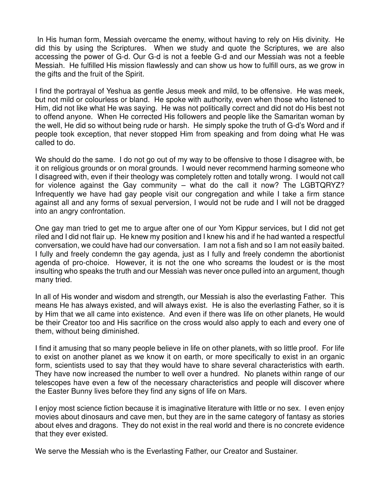In His human form, Messiah overcame the enemy, without having to rely on His divinity. He did this by using the Scriptures. When we study and quote the Scriptures, we are also accessing the power of G-d. Our G-d is not a feeble G-d and our Messiah was not a feeble Messiah. He fulfilled His mission flawlessly and can show us how to fulfill ours, as we grow in the gifts and the fruit of the Spirit.

I find the portrayal of Yeshua as gentle Jesus meek and mild, to be offensive. He was meek, but not mild or colourless or bland. He spoke with authority, even when those who listened to Him, did not like what He was saying. He was not politically correct and did not do His best not to offend anyone. When He corrected His followers and people like the Samaritan woman by the well, He did so without being rude or harsh. He simply spoke the truth of G-d's Word and if people took exception, that never stopped Him from speaking and from doing what He was called to do.

We should do the same. I do not go out of my way to be offensive to those I disagree with, be it on religious grounds or on moral grounds. I would never recommend harming someone who I disagreed with, even if their theology was completely rotten and totally wrong. I would not call for violence against the Gay community – what do the call it now? The LGBTQRYZ? Infrequently we have had gay people visit our congregation and while I take a firm stance against all and any forms of sexual perversion, I would not be rude and I will not be dragged into an angry confrontation.

One gay man tried to get me to argue after one of our Yom Kippur services, but I did not get riled and I did not flair up. He knew my position and I knew his and if he had wanted a respectful conversation, we could have had our conversation. I am not a fish and so I am not easily baited. I fully and freely condemn the gay agenda, just as I fully and freely condemn the abortionist agenda of pro-choice. However, it is not the one who screams the loudest or is the most insulting who speaks the truth and our Messiah was never once pulled into an argument, though many tried.

In all of His wonder and wisdom and strength, our Messiah is also the everlasting Father. This means He has always existed, and will always exist. He is also the everlasting Father, so it is by Him that we all came into existence. And even if there was life on other planets, He would be their Creator too and His sacrifice on the cross would also apply to each and every one of them, without being diminished.

I find it amusing that so many people believe in life on other planets, with so little proof. For life to exist on another planet as we know it on earth, or more specifically to exist in an organic form, scientists used to say that they would have to share several characteristics with earth. They have now increased the number to well over a hundred. No planets within range of our telescopes have even a few of the necessary characteristics and people will discover where the Easter Bunny lives before they find any signs of life on Mars.

I enjoy most science fiction because it is imaginative literature with little or no sex. I even enjoy movies about dinosaurs and cave men, but they are in the same category of fantasy as stories about elves and dragons. They do not exist in the real world and there is no concrete evidence that they ever existed.

We serve the Messiah who is the Everlasting Father, our Creator and Sustainer.